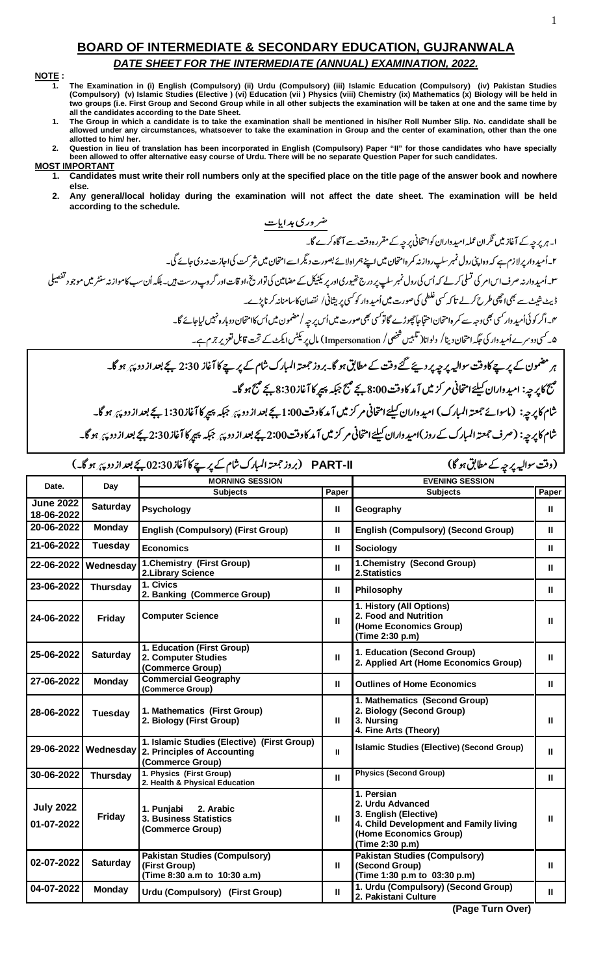## **BOARD OF INTERMEDIATE & SECONDARY EDUCATION, GUJRANWALA** DATE SHEET FOR THE INTERMEDIATE (ANNUAL) EXAMINATION, 2022.

## NOTE:

- The Examination in (i) English (Compulsory) (ii) Urdu (Compulsory) (iii) Islamic Education (Compulsory) (iv) Pakistan Studies<br>(Compulsory) (v) Islamic Studies (Elective ) (vi) Education (vii ) Physics (viii) Chemistry (ix)  $\mathbf{1}$ two groups (i.e. First Group and Second Group while in all other subjects the examination will be taken at one and the same time by all the candidates according to the Date Sheet.
- The Group in which a candidate is to take the examination shall be mentioned in his/her Roll Number Slip. No. candidate shall be  $\mathbf{1}$ allowed under any circumstances, whatsoever to take the examination in Group and the center of examination, other than the one allotted to him/ her.
- Question in lieu of translation has been incorporated in English (Compulsory) Paper "II" for those candidates who have specially<br>been allowed to offer alternative easy course of Urdu. There will be no separate Question Pap  $2.$
- **MOST IMPORTANT** Candidates must write their roll numbers only at the specified place on the title page of the answer book and nowhere 1. else.
	- $2.$ Any general/local holiday during the examination will not affect the date sheet. The examination will be held according to the schedule.

شام کا پر چه: (صرف جمعته المبارک کے روز )امید داران کیلئے امتحانی مر کز میں آمد کاوقت2:00 ہے کہ پیچ کا آغاز 2:30 بچے بعد از دو پ<sub>ئ</sub>ر ہو گا۔

|                                |                 | PART-II         (بروز جمعتہ المبارک شام کے پر پے کا آغاز 30:30 بجے بعد از دو پہ ہو گا۔)                  |                                                 | (وقت سوالیہ پر چہ کے مطابق ہو گا)                                                                                                              |       |  |
|--------------------------------|-----------------|----------------------------------------------------------------------------------------------------------|-------------------------------------------------|------------------------------------------------------------------------------------------------------------------------------------------------|-------|--|
| Date.                          |                 | <b>MORNING SESSION</b>                                                                                   |                                                 | <b>EVENING SESSION</b>                                                                                                                         |       |  |
|                                | Day             | <b>Subjects</b>                                                                                          | Paper                                           | <b>Subjects</b>                                                                                                                                | Paper |  |
| <b>June 2022</b><br>18-06-2022 | <b>Saturday</b> | <b>Psychology</b>                                                                                        | Ш                                               | Geography                                                                                                                                      | Ш     |  |
| 20-06-2022                     | <b>Monday</b>   | <b>English (Compulsory) (First Group)</b>                                                                | <b>English (Compulsory) (Second Group)</b><br>Ш |                                                                                                                                                | Ш     |  |
| 21-06-2022                     | <b>Tuesday</b>  | <b>Economics</b>                                                                                         | Ш                                               | Sociology                                                                                                                                      |       |  |
| 22-06-2022                     | Wednesday       | 1.Chemistry (First Group)<br>2. Library Science                                                          | Ш                                               | 1. Chemistry (Second Group)<br>2.Statistics                                                                                                    |       |  |
| 23-06-2022                     | <b>Thursday</b> | 1. Civics<br>2. Banking (Commerce Group)                                                                 | Ш                                               | Philosophy                                                                                                                                     |       |  |
| 24-06-2022                     | Friday          | <b>Computer Science</b>                                                                                  | Ш                                               | 1. History (All Options)<br>2. Food and Nutrition<br>(Home Economics Group)<br>(Time 2:30 p.m)                                                 |       |  |
| 25-06-2022                     | <b>Saturday</b> | 1. Education (First Group)<br>2. Computer Studies<br>(Commerce Group)                                    | $\mathbf{H}$                                    | 1. Education (Second Group)<br>2. Applied Art (Home Economics Group)                                                                           |       |  |
| 27-06-2022                     | <b>Monday</b>   | <b>Commercial Geography</b><br>(Commerce Group)                                                          | Ш                                               | <b>Outlines of Home Economics</b>                                                                                                              | Ш     |  |
| 28-06-2022                     | Tuesday         | 1. Mathematics (First Group)<br>2. Biology (First Group)                                                 | Ш                                               | 1. Mathematics (Second Group)<br>2. Biology (Second Group)<br>3. Nursing<br>4. Fine Arts (Theory)                                              | Ш     |  |
| 29-06-2022                     |                 | 1. Islamic Studies (Elective) (First Group)<br>Wednesday 2. Principles of Accounting<br>(Commerce Group) | $\mathbf{H}$                                    | Islamic Studies (Elective) (Second Group)                                                                                                      |       |  |
| 30-06-2022                     | <b>Thursday</b> | 1. Physics (First Group)<br>2. Health & Physical Education                                               | Ш                                               | <b>Physics (Second Group)</b>                                                                                                                  | Ш     |  |
| <b>July 2022</b><br>01-07-2022 | <b>Friday</b>   | 1. Punjabi<br>2. Arabic<br>3. Business Statistics<br>(Commerce Group)                                    | Ш                                               | 1. Persian<br>2. Urdu Advanced<br>3. English (Elective)<br>4. Child Development and Family living<br>(Home Economics Group)<br>(Time 2:30 p.m) | Ш     |  |
| 02-07-2022                     | <b>Saturday</b> | <b>Pakistan Studies (Compulsory)</b><br>(First Group)<br>(Time 8:30 a.m to 10:30 a.m)                    | Ш                                               | <b>Pakistan Studies (Compulsory)</b><br>(Second Group)<br>(Time 1:30 p.m to 03:30 p.m)                                                         | Ш     |  |
| 04-07-2022                     | <b>Monday</b>   | Urdu (Compulsory) (First Group)                                                                          | Ш                                               | 1. Urdu (Compulsory) (Second Group)<br>2. Pakistani Culture                                                                                    | Ш     |  |

(Page Turn Over)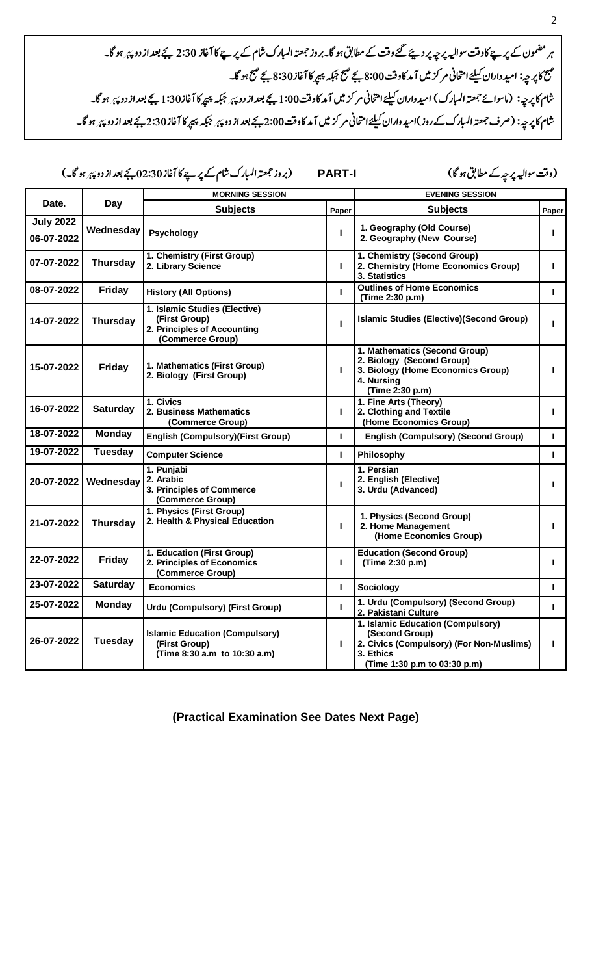ہر مضمون کے پرچے کاوقت سوالیہ پر چیرپر دیئے گئے وقت کے مطابق ہو گا۔بروز جمعتہ المبارک شام کے پر چے کا آغاز 2:30 بجے بعد از دو پئ ہو گا۔ مَنَعَ کا پِر حیہ: امید واران کیلئے امتحانی مر کز میں آ مد کاوفت 8:00 بچے منبج مرد 345 بچے منبج ہو گا۔<br>منبع کا پر حیہ: امید واران کیلئے امتحانی مر کز میں آ مد کاوفت 8:00 بچے منبج جبکہ پیپر کا آغاز 8:30 بچے منبج ہو .<br>شام کا پرچه: (ماسوائے جمعتہ المبارک) امیدواران کیلئے امتحانی مر کز میں آمد کاوقت1:00 بجے بعد از دوچہ از اور ا<br>میں ایک پرچہ: .<br>شام کا پرچه: (صرف جمعته المبارک کے روز )امید واران کیلئے امتحانی مر کزیں آمد کاوقت2:00 بجے بعد از دوچہ پر پر گ<br>شام کا پرچہ: (صرف جمعته المبارک کے روز )امید واران کیلئے امتحانی مر کزیں آمد کاوقت2:00 بچے بعد از دوچہ کے بع

- - -- **PART-I** "#\$ !-

(وقت سواليہ پر چہ کے مطابق ہو گا)

|                                |                 | <b>MORNING SESSION</b>                                                                                                                       |                                                  | <b>EVENING SESSION</b>                                                                                                                       |       |  |
|--------------------------------|-----------------|----------------------------------------------------------------------------------------------------------------------------------------------|--------------------------------------------------|----------------------------------------------------------------------------------------------------------------------------------------------|-------|--|
| Date.<br>Day                   |                 | <b>Subjects</b>                                                                                                                              | Paper                                            | <b>Subjects</b>                                                                                                                              | Paper |  |
| <b>July 2022</b><br>06-07-2022 | Wednesday       | Psychology                                                                                                                                   | I.                                               | 1. Geography (Old Course)<br>2. Geography (New Course)                                                                                       |       |  |
| 07-07-2022                     | <b>Thursday</b> | 1. Chemistry (Second Group)<br>1. Chemistry (First Group)<br>2. Library Science<br>2. Chemistry (Home Economics Group)<br>п<br>3. Statistics |                                                  | п                                                                                                                                            |       |  |
| 08-07-2022                     | Friday          | <b>History (All Options)</b>                                                                                                                 | т                                                | <b>Outlines of Home Economics</b><br>(Time 2:30 p.m)                                                                                         |       |  |
| 14-07-2022                     | <b>Thursday</b> | 1. Islamic Studies (Elective)<br>(First Group)<br>2. Principles of Accounting<br>(Commerce Group)                                            | T.                                               | <b>Islamic Studies (Elective)(Second Group)</b>                                                                                              |       |  |
| 15-07-2022                     | Friday          | 1. Mathematics (First Group)<br>2. Biology (First Group)                                                                                     | $\mathbf{L}$                                     | 1. Mathematics (Second Group)<br>2. Biology (Second Group)<br>3. Biology (Home Economics Group)<br>4. Nursing<br>(Time 2:30 p.m)             |       |  |
| 16-07-2022                     | <b>Saturday</b> | 1. Civics<br>2. Business Mathematics<br>(Commerce Group)                                                                                     | $\mathbf{L}$                                     | 1. Fine Arts (Theory)<br>2. Clothing and Textile<br>(Home Economics Group)                                                                   |       |  |
| 18-07-2022                     | <b>Monday</b>   | <b>English (Compulsory) (First Group)</b>                                                                                                    | T.<br><b>English (Compulsory) (Second Group)</b> |                                                                                                                                              | L     |  |
| 19-07-2022                     | <b>Tuesday</b>  | <b>Computer Science</b>                                                                                                                      | $\mathbf{L}$                                     | Philosophy                                                                                                                                   |       |  |
| 20-07-2022                     | Wednesday       | 1. Punjabi<br>2. Arabic<br>3. Principles of Commerce<br>(Commerce Group)                                                                     | п                                                | 1. Persian<br>2. English (Elective)<br>3. Urdu (Advanced)                                                                                    |       |  |
| 21-07-2022                     | <b>Thursday</b> | 1. Physics (First Group)<br>2. Health & Physical Education                                                                                   | т                                                | 1. Physics (Second Group)<br>2. Home Management<br>(Home Economics Group)                                                                    |       |  |
| 22-07-2022                     | Friday          | 1. Education (First Group)<br>2. Principles of Economics<br>(Commerce Group)                                                                 | п                                                | <b>Education (Second Group)</b><br>(Time 2:30 p.m)                                                                                           |       |  |
| 23-07-2022                     | <b>Saturday</b> | <b>Economics</b>                                                                                                                             | т                                                | Sociology                                                                                                                                    | L     |  |
| 25-07-2022                     | <b>Monday</b>   | <b>Urdu (Compulsory) (First Group)</b>                                                                                                       | $\mathbf{L}$                                     | 1. Urdu (Compulsory) (Second Group)<br>2. Pakistani Culture                                                                                  |       |  |
| 26-07-2022                     | <b>Tuesday</b>  | <b>Islamic Education (Compulsory)</b><br>(First Group)<br>(Time 8:30 a.m to 10:30 a.m)                                                       | т                                                | 1. Islamic Education (Compulsory)<br>(Second Group)<br>2. Civics (Compulsory) (For Non-Muslims)<br>3. Ethics<br>(Time 1:30 p.m to 03:30 p.m) |       |  |

**(Practical Examination See Dates Next Page)**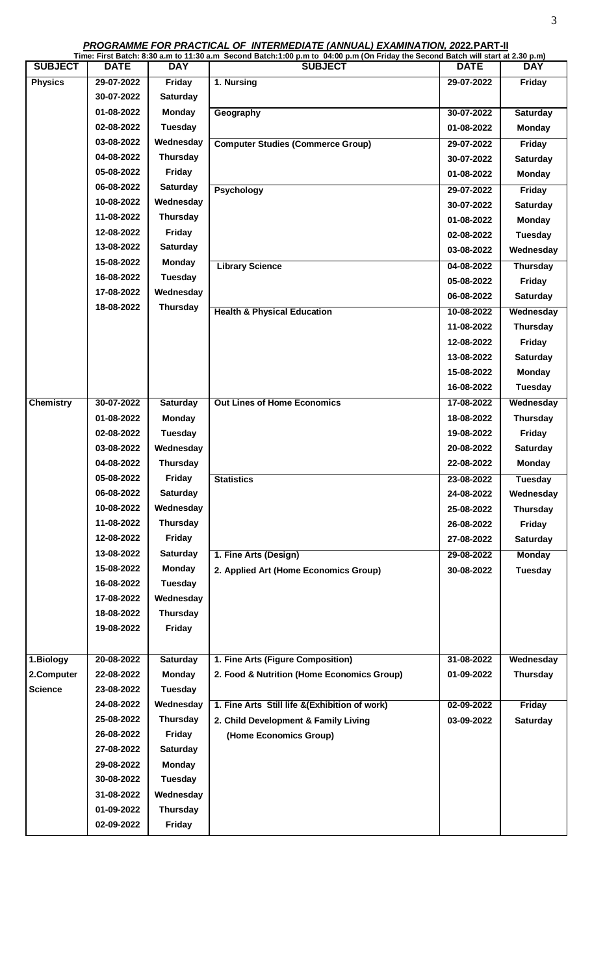**PROGRAMME FOR PRACTICAL OF INTERMEDIATE (ANNUAL) EXAMINATION, 2022.PART-II**

|                  |             |                 | Time: First Batch: 8:30 a.m to 11:30 a.m Second Batch:1:00 p.m to 04:00 p.m (On Friday the Second Batch will start at 2.30 p.m) |             |                 |
|------------------|-------------|-----------------|---------------------------------------------------------------------------------------------------------------------------------|-------------|-----------------|
| <b>SUBJECT</b>   | <b>DATE</b> | <b>DAY</b>      | <b>SUBJECT</b>                                                                                                                  | <b>DATE</b> | <b>DAY</b>      |
| <b>Physics</b>   | 29-07-2022  | Friday          | 1. Nursing                                                                                                                      | 29-07-2022  | Friday          |
|                  | 30-07-2022  | <b>Saturday</b> |                                                                                                                                 |             |                 |
|                  | 01-08-2022  | <b>Monday</b>   | Geography                                                                                                                       | 30-07-2022  | Saturday        |
|                  | 02-08-2022  | <b>Tuesday</b>  |                                                                                                                                 | 01-08-2022  | <b>Monday</b>   |
|                  | 03-08-2022  | Wednesday       | <b>Computer Studies (Commerce Group)</b>                                                                                        | 29-07-2022  | Friday          |
|                  | 04-08-2022  | <b>Thursday</b> |                                                                                                                                 | 30-07-2022  | <b>Saturday</b> |
|                  | 05-08-2022  | <b>Friday</b>   |                                                                                                                                 | 01-08-2022  | <b>Monday</b>   |
|                  | 06-08-2022  | Saturday        | <b>Psychology</b>                                                                                                               | 29-07-2022  | Friday          |
|                  | 10-08-2022  | Wednesday       |                                                                                                                                 | 30-07-2022  | <b>Saturday</b> |
|                  | 11-08-2022  | <b>Thursday</b> |                                                                                                                                 | 01-08-2022  | <b>Monday</b>   |
|                  | 12-08-2022  | Friday          |                                                                                                                                 | 02-08-2022  | <b>Tuesday</b>  |
|                  | 13-08-2022  | Saturday        |                                                                                                                                 | 03-08-2022  | Wednesday       |
|                  | 15-08-2022  | Monday          | <b>Library Science</b>                                                                                                          | 04-08-2022  | <b>Thursday</b> |
|                  | 16-08-2022  | Tuesday         |                                                                                                                                 | 05-08-2022  | Friday          |
|                  | 17-08-2022  | Wednesday       |                                                                                                                                 | 06-08-2022  | Saturday        |
|                  | 18-08-2022  | Thursday        | <b>Health &amp; Physical Education</b>                                                                                          | 10-08-2022  | Wednesday       |
|                  |             |                 |                                                                                                                                 | 11-08-2022  | <b>Thursday</b> |
|                  |             |                 |                                                                                                                                 | 12-08-2022  | Friday          |
|                  |             |                 |                                                                                                                                 | 13-08-2022  | <b>Saturday</b> |
|                  |             |                 |                                                                                                                                 | 15-08-2022  | <b>Monday</b>   |
|                  |             |                 |                                                                                                                                 | 16-08-2022  | <b>Tuesday</b>  |
| <b>Chemistry</b> | 30-07-2022  | Saturday        | <b>Out Lines of Home Economics</b>                                                                                              | 17-08-2022  | Wednesday       |
|                  | 01-08-2022  | <b>Monday</b>   |                                                                                                                                 | 18-08-2022  | <b>Thursday</b> |
|                  | 02-08-2022  | <b>Tuesday</b>  |                                                                                                                                 | 19-08-2022  | Friday          |
|                  | 03-08-2022  | Wednesday       |                                                                                                                                 | 20-08-2022  | <b>Saturday</b> |
|                  | 04-08-2022  | <b>Thursday</b> |                                                                                                                                 | 22-08-2022  | <b>Monday</b>   |
|                  | 05-08-2022  | <b>Friday</b>   | <b>Statistics</b>                                                                                                               | 23-08-2022  | <b>Tuesday</b>  |
|                  | 06-08-2022  | <b>Saturday</b> |                                                                                                                                 | 24-08-2022  | Wednesday       |
|                  | 10-08-2022  | Wednesday       |                                                                                                                                 | 25-08-2022  | <b>Thursday</b> |
|                  | 11-08-2022  | <b>Thursday</b> |                                                                                                                                 | 26-08-2022  | Friday          |
|                  | 12-08-2022  | <b>Friday</b>   |                                                                                                                                 | 27-08-2022  | <b>Saturday</b> |
|                  | 13-08-2022  | <b>Saturday</b> | 1. Fine Arts (Design)                                                                                                           | 29-08-2022  | <b>Monday</b>   |
|                  | 15-08-2022  | <b>Monday</b>   | 2. Applied Art (Home Economics Group)                                                                                           | 30-08-2022  | <b>Tuesday</b>  |
|                  | 16-08-2022  | <b>Tuesday</b>  |                                                                                                                                 |             |                 |
|                  | 17-08-2022  | Wednesday       |                                                                                                                                 |             |                 |
|                  | 18-08-2022  | <b>Thursday</b> |                                                                                                                                 |             |                 |
|                  | 19-08-2022  | <b>Friday</b>   |                                                                                                                                 |             |                 |
|                  |             |                 |                                                                                                                                 |             |                 |
| 1.Biology        | 20-08-2022  | <b>Saturday</b> | 1. Fine Arts (Figure Composition)                                                                                               | 31-08-2022  | Wednesday       |
| 2.Computer       | 22-08-2022  | <b>Monday</b>   | 2. Food & Nutrition (Home Economics Group)                                                                                      | 01-09-2022  | <b>Thursday</b> |
| <b>Science</b>   | 23-08-2022  | <b>Tuesday</b>  |                                                                                                                                 |             |                 |
|                  | 24-08-2022  | Wednesday       | 1. Fine Arts Still life &(Exhibition of work)                                                                                   | 02-09-2022  | <b>Friday</b>   |
|                  | 25-08-2022  | <b>Thursday</b> | 2. Child Development & Family Living                                                                                            | 03-09-2022  | <b>Saturday</b> |
|                  | 26-08-2022  | Friday          | (Home Economics Group)                                                                                                          |             |                 |
|                  | 27-08-2022  | <b>Saturday</b> |                                                                                                                                 |             |                 |
|                  | 29-08-2022  | <b>Monday</b>   |                                                                                                                                 |             |                 |
|                  | 30-08-2022  | <b>Tuesday</b>  |                                                                                                                                 |             |                 |
|                  | 31-08-2022  | Wednesday       |                                                                                                                                 |             |                 |
|                  | 01-09-2022  | Thursday        |                                                                                                                                 |             |                 |
|                  | 02-09-2022  | Friday          |                                                                                                                                 |             |                 |
|                  |             |                 |                                                                                                                                 |             |                 |